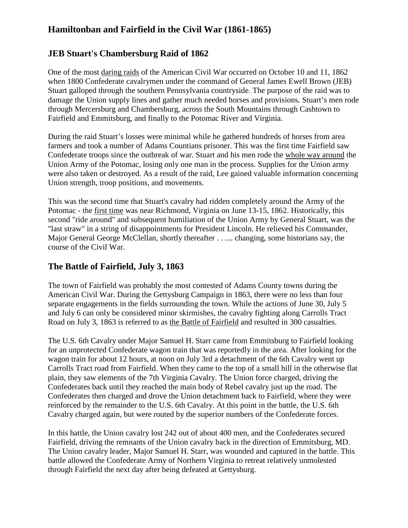# **Hamiltonban and Fairfield in the Civil War (1861-1865)**

### **JEB Stuart's Chambersburg Raid of 1862**

One of the most [daring raids](http://valley.vcdh.virginia.edu/HIUS403/frhome/occnorth.html) of the American Civil War occurred on October 10 and 11, 1862 when 1800 Confederate cavalrymen under the command of General James Ewell Brown (JEB) Stuart galloped through the southern Pennsylvania countryside. The purpose of the raid was to damage the Union supply lines and gather much needed horses and provisions. Stuart's men rode through Mercersburg and Chambersburg, across the South Mountains through Cashtown to Fairfield and Emmitsburg, and finally to the Potomac River and Virginia.

During the raid Stuart's losses were minimal while he gathered hundreds of horses from area farmers and took a number of Adams Countians prisoner. This was the first time Fairfield saw Confederate troops since the outbreak of war. Stuart and his men rode the [whole way around](http://valley.vcdh.virginia.edu/HIUS403/frhome/images/map.GIF) the Union Army of the Potomac, losing only one man in the process. Supplies for the Union army were also taken or destroyed. As a result of the raid, Lee gained valuable information concerning Union strength, troop positions, and movements.

This was the second time that Stuart's cavalry had ridden completely around the Army of the Potomac - the [first time](http://www.swcivilwar.com/StuartReportMacRide.html) was near Richmond, Virginia on June 13-15, 1862. Historically, this second "ride around" and subsequent humiliation of the Union Army by General Stuart, was the "last straw" in a string of disappointments for President Lincoln. He relieved his Commander, Major General George McClellan, shortly thereafter . . .... changing, some historians say, the course of the Civil War.

## **The Battle of Fairfield, July 3, 1863**

The town of Fairfield was probably the most contested of Adams County towns during the American Civil War. During the Gettysburg Campaign in 1863, there were no less than four separate engagements in the fields surrounding the town. While the actions of June 30, July 5 and July 6 can only be considered minor skirmishes, the cavalry fighting along Carrolls Tract Road on July 3, 1863 is referred to as [the Battle of Fairfield](http://www.civilwaralbum.com/misc5/fairfield1.htm) and resulted in 300 casualties.

The U.S. 6th Cavalry under Major Samuel H. Starr came from Emmitsburg to Fairfield looking for an unprotected Confederate wagon train that was reportedly in the area. After looking for the wagon train for about 12 hours, at noon on July 3rd a detachment of the 6th Cavalry went up Carrolls Tract road from Fairfield. When they came to the top of a small hill in the otherwise flat plain, they saw elements of the 7th Virginia Cavalry. The Union force charged, driving the Confederates back until they reached the main body of Rebel cavalry just up the road. The Confederates then charged and drove the Union detachment back to Fairfield, where they were reinforced by the remainder to the U.S. 6th Cavalry. At this point in the battle, the U.S. 6th Cavalry charged again, but were routed by the superior numbers of the Confederate forces.

In this battle, the Union cavalry lost 242 out of about 400 men, and the Confederates secured Fairfield, driving the remnants of the Union cavalry back in the direction of Emmitsburg, MD. The Union cavalry leader, Major Samuel H. Starr, was wounded and captured in the battle. This battle allowed the Confederate Army of Northern Virginia to retreat relatively unmolested through Fairfield the next day after being defeated at Gettysburg.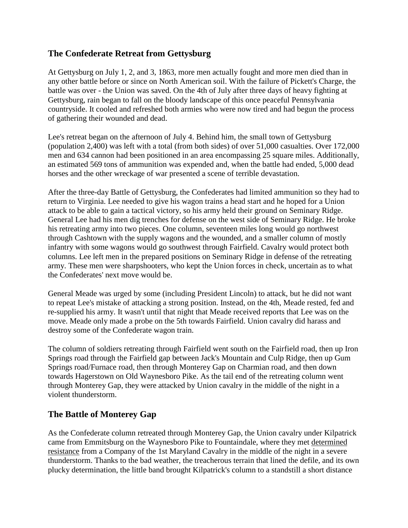### **The Confederate Retreat from Gettysburg**

At Gettysburg on July 1, 2, and 3, 1863, more men actually fought and more men died than in any other battle before or since on North American soil. With the failure of Pickett's Charge, the battle was over - the Union was saved. On the 4th of July after three days of heavy fighting at Gettysburg, rain began to fall on the bloody landscape of this once peaceful Pennsylvania countryside. It cooled and refreshed both armies who were now tired and had begun the process of gathering their wounded and dead.

Lee's retreat began on the afternoon of July 4. Behind him, the small town of Gettysburg (population 2,400) was left with a total (from both sides) of over 51,000 casualties. Over 172,000 men and 634 cannon had been positioned in an area encompassing 25 square miles. Additionally, an estimated 569 tons of ammunition was expended and, when the battle had ended, 5,000 dead horses and the other wreckage of war presented a scene of terrible devastation.

After the three-day Battle of Gettysburg, the Confederates had limited ammunition so they had to return to Virginia. Lee needed to give his wagon trains a head start and he hoped for a Union attack to be able to gain a tactical victory, so his army held their ground on Seminary Ridge. General Lee had his men dig trenches for defense on the west side of Seminary Ridge. He broke his retreating army into two pieces. One column, seventeen miles long would go northwest through Cashtown with the supply wagons and the wounded, and a smaller column of mostly infantry with some wagons would go southwest through Fairfield. Cavalry would protect both columns. Lee left men in the prepared positions on Seminary Ridge in defense of the retreating army. These men were sharpshooters, who kept the Union forces in check, uncertain as to what the Confederates' next move would be.

General Meade was urged by some (including President Lincoln) to attack, but he did not want to repeat Lee's mistake of attacking a strong position. Instead, on the 4th, Meade rested, fed and re-supplied his army. It wasn't until that night that Meade received reports that Lee was on the move. Meade only made a probe on the 5th towards Fairfield. Union cavalry did harass and destroy some of the Confederate wagon train.

The column of soldiers retreating through Fairfield went south on the Fairfield road, then up Iron Springs road through the Fairfield gap between Jack's Mountain and Culp Ridge, then up Gum Springs road/Furnace road, then through Monterey Gap on Charmian road, and then down towards Hagerstown on Old Waynesboro Pike. As the tail end of the retreating column went through Monterey Gap, they were attacked by Union cavalry in the middle of the night in a violent thunderstorm.

### **The Battle of Monterey Gap**

As the Confederate column retreated through Monterey Gap, the Union cavalry under Kilpatrick came from Emmitsburg on the Waynesboro Pike to Fountaindale, where they met [determined](http://www.emmitsburg.net/archive_list/articles/history/civil_war/the_battle_of_monterey.htm)  [resistance](http://www.emmitsburg.net/archive_list/articles/history/civil_war/the_battle_of_monterey.htm) from a Company of the 1st Maryland Cavalry in the middle of the night in a severe thunderstorm. Thanks to the bad weather, the treacherous terrain that lined the defile, and its own plucky determination, the little band brought Kilpatrick's column to a standstill a short distance